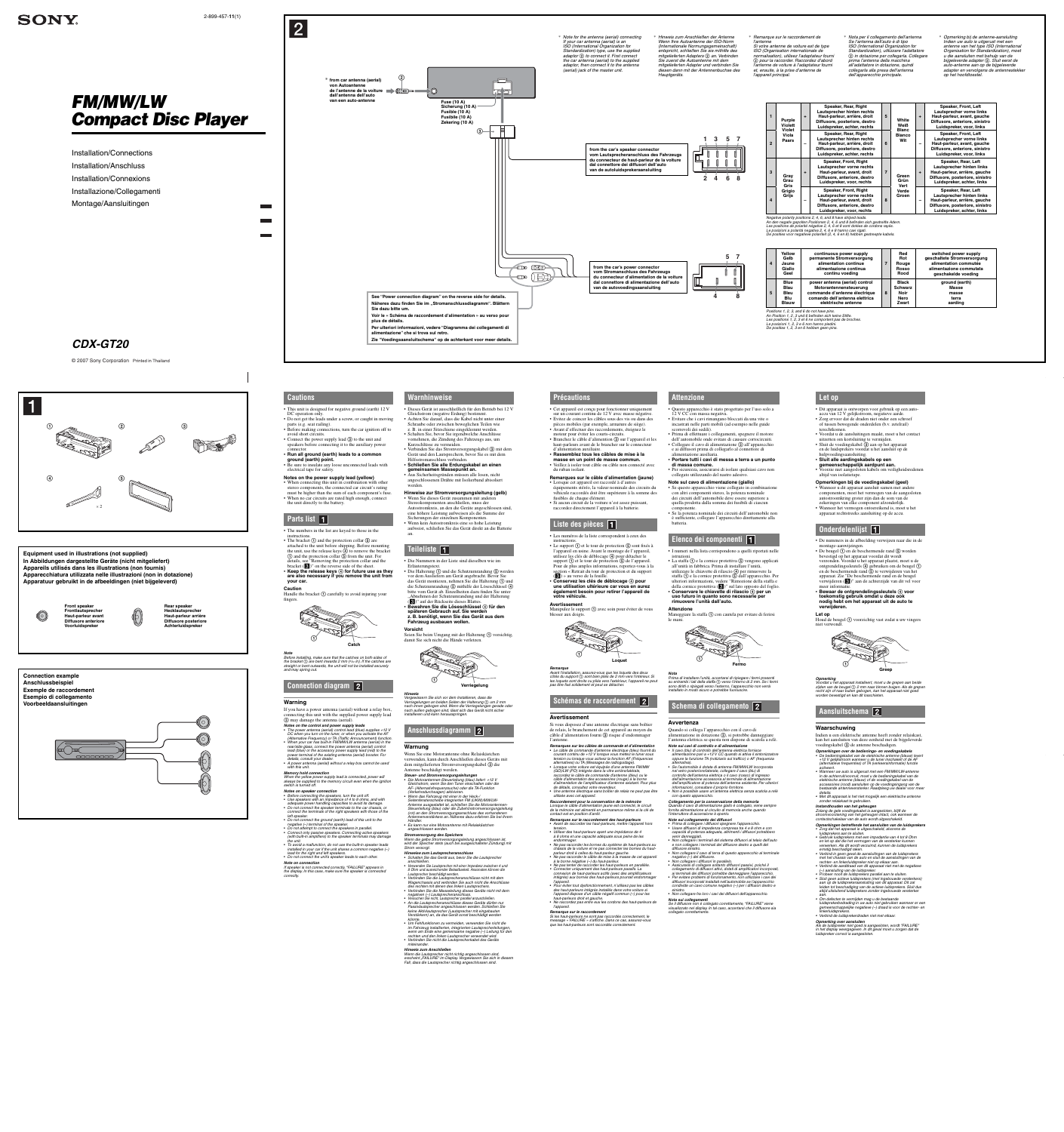# **Let op**

• Dit apparaat is ontworpen voor gebruik op een autoaccu van 12 V gelijkstroom, negatieve aarde. • Zorg ervoor dat de draden niet onder een schroef of tussen bewegende onderdelen (b.v. zetelrail) terechtkomen • Voordat u de aansluitingen maakt, moet u het contact uitzetten om kortsluiting te vermijden. • Sluit de voedingskabel  $\ddot{\textcirc}$  aan op het apparaat en de luidsprekers voordat u het aansluit op de hulpvoedingsaansluiting. • **Sluit alle aardingskabels op een gemeenschappelijk aardpunt aan.** • Voorzie niet aangesloten kabels om veiligheidsredenen altijd van isolatietape. **Opmerkingen bij de voedingskabel (geel)** • Wanneer u dit apparaat aansluit samen met andere componenten, moet het vermogen van de aangesloten autostroomkring groter zijn dan de som van de zekeringen van elke component afzonderlijk.

• De nummers in de afbeelding verwijzen naar die in de montage-aanwijzingen. • De beugel  $\bigcirc$  en de beschermende rand  $\bigcirc$  worden bevestigd op het apparaat voordat dit wordt verzonden. Voordat u het apparaat plaatst, moet u de ontgrendelingssleutels  $\overline{q}$  gebruiken om de beugel  $\overline{q}$ 

en de beschermende rand **(5**) te verwijderen van het apparaat. Zie "De beschermende rand en de beugel verwijderen (<sup>3</sup>)" aan de achterzijde van dit vel voor

• Wanneer het vermogen ontoereikend is, moet u het apparaat rechtstreeks aansluiting op de accu. **Onderdelenlijst** 

Indien u een elektrische antenne heeft zonder relaiskast, kan het aansluiten van deze eenheid met de bijgeleverde voedingskabel  $\circled{3}$  de antenne beschadigen.

meer informatie. • **Bewaar de ontgrendelingssleutels voor toekomstig gebruik omdat u deze ook nodig hebt om het apparaat uit de auto te verwijderen.**

**Let op** Houd de beugel  $\odot$  voorzichtig vast zodat u uw vingers niet verwondt.

*Opmerking Voordat u het apparaat installeert, moet u de grepen aan beide zijden van de beugel 2 mm naar binnen buigen. Als de grepen recht zijn of naar buiten gebogen, kan het apparaat niet goed worden bevestigd en kan dit losschieten.*

# **Aansluitschema**

#### **Waarschuwing**

*Opmerkingen over de bedienings- en voedingskabels • De bedieningskabel van de elektrische antenne (blauw) levert +12 V gelijkstroom wanneer u de tuner inschakelt of de AF (alternatieve frequenties) of TA (verkeersinformatie) functie* 

*activeert. • Wanneer uw auto is uitgerust met een FM/MW/LW-antenne in de achterruit/voorruit, moet u de bedieningskabel van de elektrische antenne (blauw) of de voedingskabel van de accessoires (rood) aansluiten op de voedingsingang van de bestaande antenneversterker. Raadpleeg uw dealer voor meer* 

*details. • Met dit apparaat is het niet mogelijk een elektrische antenne zonder relaiskast te gebruiken.*

*Instandhouden van het geheugen Zolang de gele voedingskabel is aangesloten, blijft de stroomvoorziening van het geheugen intact, ook wanneer de contactschakelaar van de auto wordt uitgeschakeld.*

s « Retrait du tour de prot  $\left(\bigotimes$ ) » au verso de la feuille. • **Conservez les clés de déblocage pour une utilisation ultérieure car vous en aurez également besoin pour retirer l'appareil de votre véhicule.**

*Opmerkingen betreffende het aansluiten van de luidsprekers*

*• Zorg dat het apparaat is uitgeschakeld, alvorens de luidsprekers aan te sluiten. • Gebruik luidsprekers met een impedantie van 4 tot 8 Ohm* 

*en let op dat die het vermogen van de versterker kunnen verwerken. Als dit wordt verzuimd, kunnen de luidsprekers ernstig beschadigd raken.*

*• Verbind in geen geval de aansluitingen van de luidsprekers met het chassis van de auto en sluit de aansluitingen van de* 

rechter- en linkerluidspreker niet op elkaar aan.<br>• Verbind de aarddraad van dit apparaat niet met de negatieve<br>(-) aansluiting van de luidspreker.<br>• Probeer nooit de luidsprekers parallel aan te sluiten.

*• Sluit geen actieve luidsprekers (met ingebouwde versterkers) aan op de luidsprekeraansluiting van dit apparaat. Dit zal leiden tot beschadiging van de actieve luidsprekers. Sluit dus altijd uitsluitend luidsprekers zonder ingebouwde versterker* 

*• Connecter uniquement des haut-parleurs passifs. La connexion de haut-parleurs actifs (avec des amplifi cateurs intégrés) aux bornes des haut-parleurs pourrait endommage* 

> *aan. • Om defecten te vermijden mag u de bestaande luidsprekerbedrading in uw auto niet gebruiken wanneer er een gemeenschappelijke negatieve (–) draad is voor de rechter- en linkerluidsprekers. • Verbind de luidsprekerdraden niet met elkaar.*

*Opmerking over aansluiten Als de luidspreker niet goed is aangesloten, wordt "FAILURE" in het display weergegeven. In dit geval moet u zorgen dat de luidspreker correct is aangesloten.*

#### **Précautions**

• Cet appareil est conçu pour fonctionner uniquement sur un courant continu de 12 V avec masse négative. • Evitez de coincer les câbles sous des vis ou dans des pièces mobiles (par exemple, armature de siège). • Avant d'effectuer des raccordements, éteignez le moteur pour éviter les courts-circuits. • Branchez le câble d'alimention **3** sur l'appareil et les haut-parleurs avant de le brancher sur le connecteur d'alimentation auxiliaire.

• Verbinden Sie das Stromversorgungskabel ③ mit dem Gerät und den Lautsprechern, bevor Sie es mit dem nschluss verbinden • **Schließen Sie alle Erdungskabel an einen gemeinsamen Massepunkt an.** • Aus Sicherheitsgründen müssen alle losen, nicht

• **Rassemblez tous les câbles de mise à la masse en un point de masse commun.** • Veillez à isoler tout câble ou câble non connecté avec du ruban isolant.

**Remarques sur le câble d'alimentation (jaune)** • Lorsque cet appareil est raccordé à d'autres équipements stéréo, la valeur nominale des circuits du véhicule raccordés doit être supérieure à la somme des fusibles de chaque élément. • Si aucun circuit de la voiture n'est assez puissant, raccordez directement l'appareil à la batterie.

(8)<sup>\*</sup> auf der Rückseite dieses Blattes.<br>• Bewahren Sie die Löseschlüssel 4 für den **späteren Gebrauch auf. Sie werden z. B. benötigt, wenn Sie das Gerät aus dem** 

#### **Fahrzeug ausbauen wollen. Vorsicht** Seien Sie beim Umgang mit der Halterung  $\textcircled{1}$  vorsichtig,

➀

*Hinweis Vergewissern Sie sich vor dem Installieren, dass die*  Verriegelungen an beiden Seiten der Halterung ① um 2 mm<br>nach innen gebogen sind. Wenn die Verriegelungen gerade oder<br>nach außen gebogen sind, lässt sich das Gerät nicht sicher<br>installieren und kann herausspringen.

#### **Liste des pièces**

• Les numéros de la liste correspondent à ceux des instructions. • Le support  $\Theta$  et le tour de protection  $\Theta$  sont fixés à l'appareil en usine. Avant le montage de l'appareil, utilisez les clés de déblocage  $\overline{4}$  pour détacher le support  $\Theta$  et le tour de protection  $\Theta$  de l'appareil. Pour de plus amples informations, reportez-vous à la

*Händler.* • *Es kann nur eine Motorantenne mit Relaiskästchen*   $angeschlossen$ *werde* 

**Avertissement** Manipulez le support  $\Theta$  avec soin pour éviter de vous blesser aux doigts.

# **Schémas de raccordement**

#### **Avertissement**

de relais, le branchement de cet appareil au moyen du câble d'alimentation fourni 3 risque d'endommager l'antenne. *Remarques sur les câbles de commande et d'alimentation*

alternatives) ou TA (Messages de radioguidage).<br>• Lorsque votre voiture est équipée d'une antenne FM/MW<br>(GO)/LW (PO) intégrée dans la vitre arrière/latérale,<br>raccordez le câble de commande d'antenne (bleu) ou le<br>câble d'al

Si vous disposez d'une antenne électrique sans boîtier • *Le câble de commande d'antenne électrique (bleu) fournit du courant continu de +12 V lorsque vous mettez le tuner sous tension ou lorsque vous activez la fonction AF (Fréquences* 

è sufficiente, collegare l'apparecchio direttamente alla batteria.

*de détails, consultez votre revendeur.* • *Une antenne électrique sans boîtier de relais ne peut pas être utilisée avec cet appareil.*

• I numeri nella lista corrispondono a quelli riportati nelle istruzioni. • La staffa  $\odot$  e la cornice protettiva  $\odot$  vengono applicati

Maneggiare la staffa  $\odot$  con cautela per evitare di ferirsi

*Raccordement pour la conservation de la mémoire*

utilizzare le chiavette di rilascio  $\Omega$  per rimuovere la staffa  $\Theta$  e la cornice protettiva  $\widetilde{\Theta}$  dall'apparecchio. Per ulteriori informazioni, vedere "Rimozione della staffa e della cornice protettiva (**3**)" sul lato opposto del foglio.<br>• **Conservare le chiavette di rilascio 4**) per un **uso futuro in quanto sono necessarie per** 

# *Remarques sur le raccordement des haut-parleurs* • *Avant de raccorder les haut-parleurs, mettre l'appareil hors*

*tension.* • *Utiliser des haut-parleurs ayant une impédance de 4 à 8 ohms et une capacité adéquate sous peine de les* 

*endommager.* • *Ne pas raccorder les bornes du système de haut-parleurs au châssis de la voiture et ne pas connecter les bornes du haut-*

parleur droit à celles du haut-parleur gauche.<br>• Ne pas raccorder le câble de mise à la masse de cet appareil<br>à la borne négative (–) du haut-parleur.<br>• Ne pas tenter de raccorder les haut-parleurs en parallèle.

*l'appareil.* • *Pour éviter tout dysfonctionnement, n'utilisez pas les câbles* 

*des haut-parleurs intégrés installés dans votre voiture si l'appareil dispose d'un câble négatif commun (–) pour les* 

*haut-parleurs droit et gauche.*

• *Ne raccordez pas entre eux les cordons des haut-parleurs de l'appareil.*

*Remarque sur le raccordement*

*Si les haut-parleurs ne sont pas raccordés correctement, le message « FAILURE » s'affi che. Dans ce cas, assurez-vous* 

*que les haut-parleurs sont raccordés correctement.*

#### **Warnhinweise**

• Die Halterung ① und die Schutzumrandung ⑤ werden vor dem Ausliefern am Gerät angebracht. Bevor Sie das Gerät montieren, nehmen Sie die Halterung ① und die Schutzumrandung ⑤ mithilfe der Löseschlüssel ④<br>bitte vom Gerät ab. Einzelheiten dazu finden Sie unter Abnehmen der Schutzumrandung und der Halterung **are also necessary if you remove the unit from** 

angeschlossenen Drähte mit Isolierband abisoliert werden. **Hinweise zur Stromversorgungsleitung (gelb)** • Wenn Sie dieses Gerät zusammen mit anderen Stereokomponenten anschließen, muss der Autostromkreis, an den die Geräte angeschlossen sind, eine höhere Leistung aufweisen als die Summe der

Sicherungen der einzelnen Komponenten. • Wenn kein Autostromkreis eine so hohe Leistung aufweist, schließen Sie das Gerät direkt an die Batterie an.

**Teileliste** 

• Die Nummern in der Liste sind dieselben wie im

Erläuterungstext.

*connect the terminals of the right speakers with those of the left speaker.* • *Do not connect the ground (earth) lead of this unit to the*  negative (–) terminal of the speaker.<br>• Do not attempt to connect the speakers in parallel.<br>• Connect only passive speakers. Connecting active speakers<br>(with built-in amplifiers) to the speaker terminals may damage damit Sie sich nicht die Hände verletzen.

*Remarque Avant l'installation, assurez-vous que les loquets des deux côtés du support sont bien pliés de 2 mm vers l'intérieur. Si les loquets sont droits ou pliés vers l'extérieur, l'appareil ne peut pas être fi xé solidement et peut se détacher. Nota Prima di installare l'unità, accertarsi di ripiegare i fermi presenti su entrambi i lati della staffa verso l'interno di 2 mm. Se i fermi sono diritti o ripiegati verso l'esterno, l'apparecchio non verrà installato in modo sicuro e potrebbe fuoriuscire.*

# **Anschlussdiagramm**

**Warnung** Wenn Sie eine Motorantenne ohne Relaiskästchen

verwenden, kann durch Anschließen dieses Geräts mit dem mitgelieferten Stromversorgungskabel ③ die Antenne beschädigt werden.

**Steuer- und Stromversorgungsleitungen**<br>
• Die Motorantennen-Steuerleitung (blau) liefert +12 V<br>
• Gleichstrom, wenn Sie den Tuner einschalten oder die<br>
AF- (Alternativfrequenzsuche) oder die TA-Funktion<br>
• Wenn das Fahrze

**Rear speaker Hecklautsprecher Haut-parleur arrière Diffusore** posterior **Achterluidspreker**

*Steuerleitung (blau) oder die Zubehörstromversorgungsleitung (rot) an den Stromversorgungsanschluss des vorhandenen Antennenverstärkers an. Näheres dazu erfahren Sie bei Ihrem* 

*Stromversorgung des Speichers Wenn die gelbe Stromversorgungsleitung angeschlossen ist, wird der Speicher stets (auch bei ausgeschalteter Zündung) mit* 

*Strom versorgt. Hinweise zum Lautsprecheranschluss* • *Schalten Sie das Gerät aus, bevor Sie die Lautsprecher* 



*anschließen.* • *Verwenden Sie Lautsprecher mit einer Impedanz zwischen 4 und* 

*8 Ohm und ausreichender Belastbarkeit. Ansonsten können die Lautsprecher beschädigt werden.* • *Verbinden Sie die Lautsprecheranschlüsse nicht mit dem Wagenchassis und verbinden Sie auch nicht die Anschlüsse des rechten mit denen des linken Lautsprechers.* • *Verbinden Sie die Masseleitung dieses Geräts nicht mit dem* 

*negativen (–) Lautsprecheranschluss.* • *Versuchen Sie nicht, Lautsprecher parallel anzuschließen.* • *An die Lautsprecheranschlüsse dieses Geräts dürfen nur Passivlautsprecher angeschlossen werden. Schließen Sie keine Aktivlautsprecher (Lautsprecher mit eingebauten Verstärkern) an, da das Gerät sonst beschädigt werden* 

*könnte.* • *Um Fehlfunktionen zu vermeiden, verwenden Sie nicht die im Fahrzeug installierten, integrierten Lautsprecherleitungen, wenn am Ende eine gemeinsame negative (–) Leitung für den rechten und den linken Lautsprecher verwendet wird.* • *Verbinden Sie nicht die Lautsprecherkabel des Geräts* 

*miteinander. Hinweis zum Anschließen*

*Wenn die Lautsprecher nicht richtig angeschlossen sind, erscheint "FAILURE" im Display. Vergewissern Sie sich in diesem Fall, dass die Lautsprecher richtig angeschlossen sind.*

#### **Attenzione**

• Dieses Gerät ist ausschließlich für den Betrieb bei 12 V Gleichstrom (negative Erdung) bestimmt. • Achten Sie darauf, dass die Kabel nicht unter einer Schraube oder zwischen beweglichen Teilen wie z. B. in einer Sitzschiene eingeklemmt werden. • Schalten Sie, bevor Sie irgendwelche Anschlüsse vornehmen, die Zündung des Fahrzeugs aus, um Kurzschlüsse zu vermeiden. • This unit is designed for negative ground (earth) 12 V • Do not get the leads under a screw, or caught in moving • Before making connections, turn the car ignition off to speakers before connecting it to the auxiliary power

• Questo apparecchio è stato progettato per l'uso solo a 12 V CC con massa negativa. • Evitare che i cavi rimangano bloccati da una vite o incastrati nelle parti mobili (ad esempio nelle guide scorrevoli dei sedili). • Prima di effettuare i collegamenti, spegnere il motore dell'automobile onde evitare di causare cortocircuiti. • Collegare il cavo di alimentazione 3 all'apparecchio e ai diffusori prima di collegarlo al connettore di alimentazione ausiliaria • **Portare tutti i cavi di messa a terra a un punto di massa comune.** • Per sicurezza, assicurarsi di isolare qualsiasi cavo non collegato utilizzando del nastro adesivo.

**Note sul cavo di alimentazione (giallo)** • Se questo apparecchio viene collegato in combinazione con altri componenti stereo, la potenza nominale dei circuiti dell'automobile deve essere superiore a quella prodotta dalla somma dei fusibili di ciascun componente. • Se la potenza nominale dei circuiti dell'automobile non

# **Elenco dei componenti**

all'unità in fabbrica. Prima di installare l'unità,

**rimuovere l'unità dall'auto.**

**Attenzione**

**Schema di collegamento** 

**Avvertenza**

Quando si collega l'apparecchio con il cavo di alimentazione in dotazione (3), si potrebbe danneggiare l'antenna elettrica se questa non dispone di scatola a relè.

*Note sui cavi di controllo e di alimentazione*

• *Il cavo (blu) di controllo dell'antenna elettrica fornisce alimentazione pari a +12 V CC quando si attiva il sintonizzatore oppure la funzione TA (notiziario sul traffi co) o AF (frequenza* 

nel vetro posteriore/laterale, collegare il cavo (blu) di<br>controllo dell'antenna elettrica o il cavo (rosso) di ingresso<br>dell'alimentazione accessoria al terminale di alimentazione<br>dell'amplificatore di potenza dell'antenn

*alternativa).*

• *Se l'automobile è dotata di antenna FM/MW/LW incorporata* 



*venir danneggiati.* • *Non collegare i terminali del sistema diffusori al telaio dell'auto e non collegare i terminali del diffusore destro a quelli del diffusore sinistro.* • *Non collegare il cavo di terra di questo apparecchio al terminale negativo (–) del diffusore.* • *Non collegare i diffusori in parallelo.* • *Assicurarsi di collegare soltanto diffusori passivi, poiché il collegamento di diffusori attivi, dotati di amplifi catori incorporati,* 

*sinistro.* • *Non collegare fra loro i cavi dei diffusori dell'apparecchio.*

*Nota sui collegamenti Se il diffusore non è collegato correttamente, "FAILURE" viene visualizzato nel display. In tal caso, accertarsi che il diffusore sia* 

*collegato correttamente.*

ai terminali dei diffusori potrebbe danneggiare l'apparecchio.<br>● Per evitare problemi di funzionamento, non utilizzare i cavi dei<br>diffusori incorporati installati nell'automobile se l'apparecchio<br>condivide un cavo comune

**Verriegelung**

**Fermo**



**Cautions**

DC operation only.

parts (e.g. seat railing).

avoid short circuits.

connector. • **Run all ground (earth) leads to a common** 

**ground (earth) point.**

• Be sure to insulate any loose unconnected leads with



electrical tape for safety.

**Notes on the power supply lead (yellow)** • When connecting this unit in combination with other stereo components, the connected car circuit's rating must be higher than the sum of each component's fuse. • When no car circuits are rated high enough, connect

the unit directly to the battery.

**Parts list** 

• The numbers in the list are keyed to those in the

• The bracket  $\odot$  and the protection collar  $\odot$  are attached to the unit before shipping. Before mounting the unit, use the release keys  $\ddot{q}$  to remove the bracket  $\circled{1}$  and the protection collar  $\circled{1}$  from the unit. For details, see "Removing the protection collar and the bracket  $(\epsilon)$ " on the reverse side of the sheet. • Keep the release keys **(4)** for future use as they

Handle the bracket  $\odot$  carefully to avoid injuring your

instructions.

**your car. Caution**

fingers.

• Connect the power supply lead **3** to the unit and



*and may spring out.*

**Connection diagram** 

➀

**Warning**

If you have a power antenna (aerial) without a relay box, connecting this unit with the supplied power supply lead may damage the antenna (aerial).

*Notes on the control and power supply leads* • *The power antenna (aerial) control lead (blue) supplies +12 V DC when you turn on the tuner, or when you activate the AF (Alternative Frequency) or TA (Traffi c Announcement) function.* • *When your car has built-in FM/MW/LW antenna (aerial) in the rear/side glass, connect the power antenna (aerial) control lead (blue) or the accessory power supply lead (red) to the power terminal of the existing antenna (aerial) booster. For details, consult your dealer.*

• *A power antenna (aerial) without a relay box cannot be used with this unit.*

*Memory hold connection When the yellow power supply lead is connected, power will always be supplied to the memory circuit even when the ignition switch is turned off. Notes on speaker connection*

• Before connecting the speakers, turn the unit off.<br>• Use speakers with an impedance of 4 to 8 ohms, and with<br>• adequate power handling capacities to avoid its damage.<br>• Do not connect the speaker terminals to the car cha

*the unit.* • *To avoid a malfunction, do not use the built-in speaker leads* 

- *installed in your car if the unit shares a common negative (–) lead for the right and left speakers.* • *Do not connect the unit's speaker leads to each other.*
- *Note on connection If speaker is not connected correctly, "FAILURE" appears in the display. In this case, make sure the speaker is connected*

*correctly.*

**Catch**

© 2007 Sony Corporation Printed in Thailand

**SONY** 

# 2-899-457-**11**(1)

**Equipment used in illustrations (not supplied) In Abbildungen dargestellte Geräte (nicht mitgeliefert) Appareils utilisés dans les illustrations (non fournis)**







# *CDX-GT20*



**Connection example Anschlussbeispiel Exemple de raccordement Esempio di collegamento Voorbeeldaansluitingen**